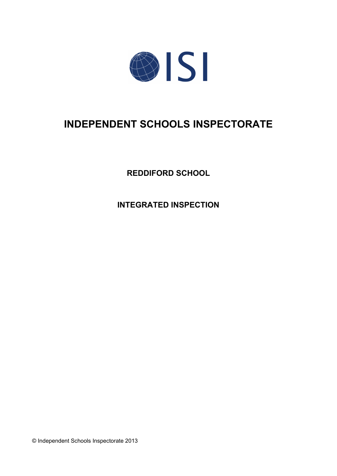

# **INDEPENDENT SCHOOLS INSPECTORATE**

**REDDIFORD SCHOOL**

**INTEGRATED INSPECTION**

© Independent Schools Inspectorate 2013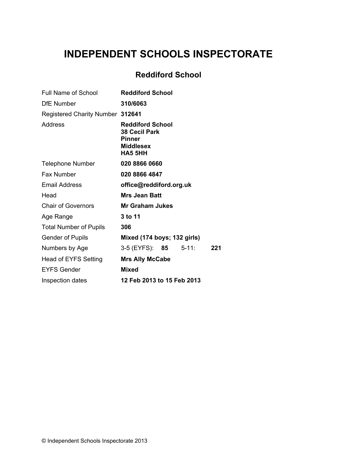# **INDEPENDENT SCHOOLS INSPECTORATE**

# **Reddiford School**

| Full Name of School              | <b>Reddiford School</b>                                                                                |
|----------------------------------|--------------------------------------------------------------------------------------------------------|
| <b>DfE Number</b>                | 310/6063                                                                                               |
| Registered Charity Number 312641 |                                                                                                        |
| Address                          | <b>Reddiford School</b><br><b>38 Cecil Park</b><br><b>Pinner</b><br><b>Middlesex</b><br><b>HA5 5HH</b> |
| <b>Telephone Number</b>          | 020 8866 0660                                                                                          |
| <b>Fax Number</b>                | 020 8866 4847                                                                                          |
| Email Address                    | office@reddiford.org.uk                                                                                |
| Head                             | <b>Mrs Jean Batt</b>                                                                                   |
| <b>Chair of Governors</b>        | <b>Mr Graham Jukes</b>                                                                                 |
| Age Range                        | 3 to 11                                                                                                |
| <b>Total Number of Pupils</b>    | 306                                                                                                    |
| <b>Gender of Pupils</b>          | Mixed (174 boys; 132 girls)                                                                            |
| Numbers by Age                   | 3-5 (EYFS): 85<br>$5 - 11$ :<br>221                                                                    |
| <b>Head of EYFS Setting</b>      | <b>Mrs Ally McCabe</b>                                                                                 |
| <b>EYFS Gender</b>               | <b>Mixed</b>                                                                                           |
| Inspection dates                 | 12 Feb 2013 to 15 Feb 2013                                                                             |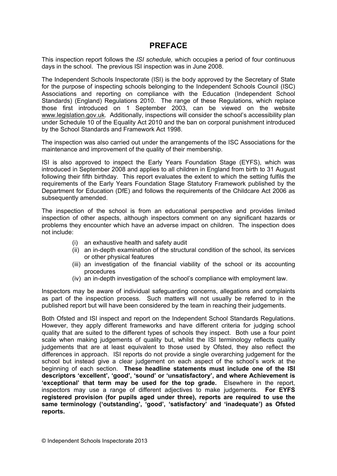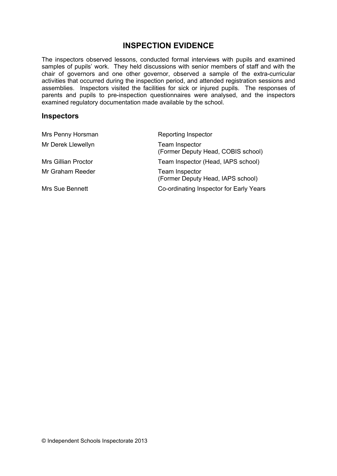## **INSPECTION EVIDENCE**

The inspectors observed lessons, conducted formal interviews with pupils and examined samples of pupils' work. They held discussions with senior members of staff and with the chair of governors and one other governor, observed a sample of the extra-curricular activities that occurred during the inspection period, and attended registration sessions and assemblies. Inspectors visited the facilities for sick or injured pupils. The responses of parents and pupils to pre-inspection questionnaires were analysed, and the inspectors examined regulatory documentation made available by the school.

#### **Inspectors**

| Mrs Penny Horsman          | Reporting Inspector                                  |
|----------------------------|------------------------------------------------------|
| Mr Derek Llewellyn         | Team Inspector<br>(Former Deputy Head, COBIS school) |
| <b>Mrs Gillian Proctor</b> | Team Inspector (Head, IAPS school)                   |
| Mr Graham Reeder           | Team Inspector<br>(Former Deputy Head, IAPS school)  |
| Mrs Sue Bennett            | Co-ordinating Inspector for Early Years              |
|                            |                                                      |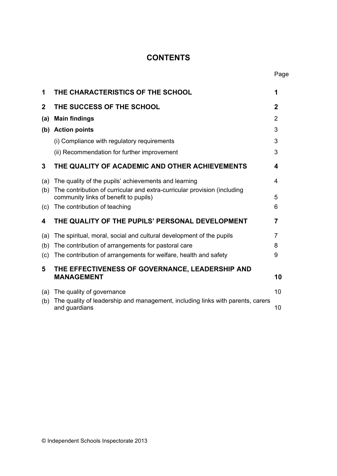# **CONTENTS**

Page

| 1              | THE CHARACTERISTICS OF THE SCHOOL                                                                                 | 1              |
|----------------|-------------------------------------------------------------------------------------------------------------------|----------------|
| $\overline{2}$ | THE SUCCESS OF THE SCHOOL                                                                                         | $\mathbf 2$    |
| (a)            | <b>Main findings</b>                                                                                              | $\overline{2}$ |
| (b)            | <b>Action points</b>                                                                                              | 3              |
|                | (i) Compliance with regulatory requirements                                                                       | 3              |
|                | (ii) Recommendation for further improvement                                                                       | 3              |
| 3              | THE QUALITY OF ACADEMIC AND OTHER ACHIEVEMENTS                                                                    | 4              |
| (a)            | The quality of the pupils' achievements and learning                                                              | 4              |
| (b)            | The contribution of curricular and extra-curricular provision (including<br>community links of benefit to pupils) | 5              |
| (c)            | The contribution of teaching                                                                                      | 6              |
| 4              | THE QUALITY OF THE PUPILS' PERSONAL DEVELOPMENT                                                                   | 7              |
| (a)            | The spiritual, moral, social and cultural development of the pupils                                               | 7              |
| (b)            | The contribution of arrangements for pastoral care                                                                | 8              |
| (c)            | The contribution of arrangements for welfare, health and safety                                                   | 9              |
| 5              | THE EFFECTIVENESS OF GOVERNANCE, LEADERSHIP AND<br><b>MANAGEMENT</b>                                              | 10             |
| (a)            | The quality of governance                                                                                         | 10             |
| (b)            | The quality of leadership and management, including links with parents, carers<br>and guardians                   | 10             |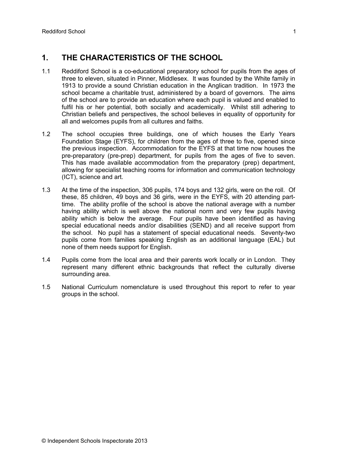## **1. THE CHARACTERISTICS OF THE SCHOOL**

- 1.1 Reddiford School is a co-educational preparatory school for pupils from the ages of three to eleven, situated in Pinner, Middlesex. It was founded by the White family in 1913 to provide a sound Christian education in the Anglican tradition. In 1973 the school became a charitable trust, administered by a board of governors. The aims of the school are to provide an education where each pupil is valued and enabled to fulfil his or her potential, both socially and academically. Whilst still adhering to Christian beliefs and perspectives, the school believes in equality of opportunity for all and welcomes pupils from all cultures and faiths.
- 1.2 The school occupies three buildings, one of which houses the Early Years Foundation Stage (EYFS), for children from the ages of three to five, opened since the previous inspection. Accommodation for the EYFS at that time now houses the pre-preparatory (pre-prep) department, for pupils from the ages of five to seven. This has made available accommodation from the preparatory (prep) department, allowing for specialist teaching rooms for information and communication technology (ICT), science and art.
- 1.3 At the time of the inspection, 306 pupils, 174 boys and 132 girls, were on the roll. Of these, 85 children, 49 boys and 36 girls, were in the EYFS, with 20 attending parttime. The ability profile of the school is above the national average with a number having ability which is well above the national norm and very few pupils having ability which is below the average. Four pupils have been identified as having special educational needs and/or disabilities (SEND) and all receive support from the school. No pupil has a statement of special educational needs. Seventy-two pupils come from families speaking English as an additional language (EAL) but none of them needs support for English.
- 1.4 Pupils come from the local area and their parents work locally or in London. They represent many different ethnic backgrounds that reflect the culturally diverse surrounding area.
- 1.5 National Curriculum nomenclature is used throughout this report to refer to year groups in the school.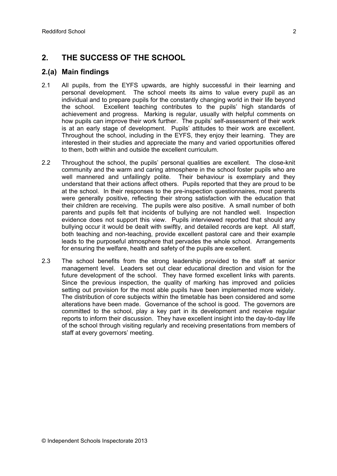## **2. THE SUCCESS OF THE SCHOOL**

### **2.(a) Main findings**

- 2.1 All pupils, from the EYFS upwards, are highly successful in their learning and personal development. The school meets its aims to value every pupil as an individual and to prepare pupils for the constantly changing world in their life beyond the school. Excellent teaching contributes to the pupils' high standards of achievement and progress. Marking is regular, usually with helpful comments on how pupils can improve their work further. The pupils' self-assessment of their work is at an early stage of development. Pupils' attitudes to their work are excellent. Throughout the school, including in the EYFS, they enjoy their learning. They are interested in their studies and appreciate the many and varied opportunities offered to them, both within and outside the excellent curriculum.
- 2.2 Throughout the school, the pupils' personal qualities are excellent. The close-knit community and the warm and caring atmosphere in the school foster pupils who are well mannered and unfailingly polite. Their behaviour is exemplary and they understand that their actions affect others. Pupils reported that they are proud to be at the school. In their responses to the pre-inspection questionnaires, most parents were generally positive, reflecting their strong satisfaction with the education that their children are receiving. The pupils were also positive. A small number of both parents and pupils felt that incidents of bullying are not handled well. Inspection evidence does not support this view. Pupils interviewed reported that should any bullying occur it would be dealt with swiftly, and detailed records are kept. All staff, both teaching and non-teaching, provide excellent pastoral care and their example leads to the purposeful atmosphere that pervades the whole school. Arrangements for ensuring the welfare, health and safety of the pupils are excellent.
- 2.3 The school benefits from the strong leadership provided to the staff at senior management level. Leaders set out clear educational direction and vision for the future development of the school. They have formed excellent links with parents. Since the previous inspection, the quality of marking has improved and policies setting out provision for the most able pupils have been implemented more widely. The distribution of core subjects within the timetable has been considered and some alterations have been made. Governance of the school is good. The governors are committed to the school, play a key part in its development and receive regular reports to inform their discussion. They have excellent insight into the day-to-day life of the school through visiting regularly and receiving presentations from members of staff at every governors' meeting.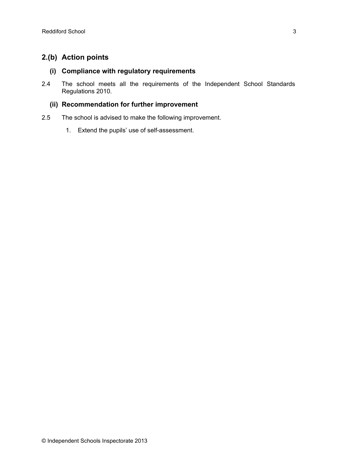## **2.(b) Action points**

#### **(i) Compliance with regulatory requirements**

2.4 The school meets all the requirements of the Independent School Standards Regulations 2010.

#### **(ii) Recommendation for further improvement**

- 2.5 The school is advised to make the following improvement.
	- 1. Extend the pupils' use of self-assessment.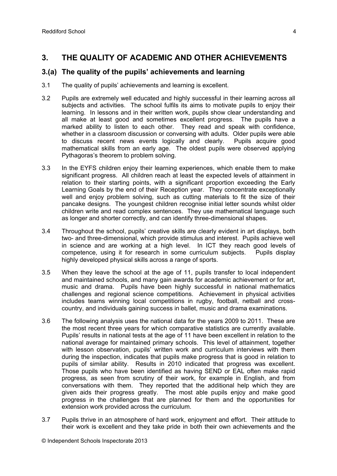## **3. THE QUALITY OF ACADEMIC AND OTHER ACHIEVEMENTS**

### **3.(a) The quality of the pupils' achievements and learning**

- 3.1 The quality of pupils' achievements and learning is excellent.
- 3.2 Pupils are extremely well educated and highly successful in their learning across all subjects and activities. The school fulfils its aims to motivate pupils to enjoy their learning. In lessons and in their written work, pupils show clear understanding and all make at least good and sometimes excellent progress. The pupils have a marked ability to listen to each other. They read and speak with confidence, whether in a classroom discussion or conversing with adults. Older pupils were able to discuss recent news events logically and clearly. Pupils acquire good mathematical skills from an early age. The oldest pupils were observed applying Pythagoras's theorem to problem solving.
- 3.3 In the EYFS children enjoy their learning experiences, which enable them to make significant progress. All children reach at least the expected levels of attainment in relation to their starting points, with a significant proportion exceeding the Early Learning Goals by the end of their Reception year. They concentrate exceptionally well and enjoy problem solving, such as cutting materials to fit the size of their pancake designs. The youngest children recognise initial letter sounds whilst older children write and read complex sentences. They use mathematical language such as longer and shorter correctly, and can identify three-dimensional shapes.
- 3.4 Throughout the school, pupils' creative skills are clearly evident in art displays, both two- and three-dimensional, which provide stimulus and interest. Pupils achieve well in science and are working at a high level. In ICT they reach good levels of competence, using it for research in some curriculum subjects. Pupils display highly developed physical skills across a range of sports.
- 3.5 When they leave the school at the age of 11, pupils transfer to local independent and maintained schools, and many gain awards for academic achievement or for art, music and drama. Pupils have been highly successful in national mathematics challenges and regional science competitions. Achievement in physical activities includes teams winning local competitions in rugby, football, netball and crosscountry, and individuals gaining success in ballet, music and drama examinations.
- 3.6 The following analysis uses the national data for the years 2009 to 2011. These are the most recent three years for which comparative statistics are currently available. Pupils' results in national tests at the age of 11 have been excellent in relation to the national average for maintained primary schools. This level of attainment, together with lesson observation, pupils' written work and curriculum interviews with them during the inspection, indicates that pupils make progress that is good in relation to pupils of similar ability. Results in 2010 indicated that progress was excellent. Those pupils who have been identified as having SEND or EAL often make rapid progress, as seen from scrutiny of their work, for example in English, and from conversations with them. They reported that the additional help which they are given aids their progress greatly. The most able pupils enjoy and make good progress in the challenges that are planned for them and the opportunities for extension work provided across the curriculum.
- 3.7 Pupils thrive in an atmosphere of hard work, enjoyment and effort. Their attitude to their work is excellent and they take pride in both their own achievements and the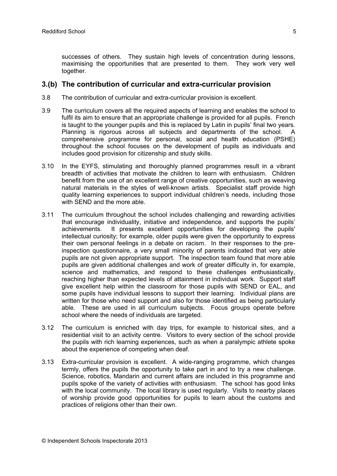successes of others. They sustain high levels of concentration during lessons, maximising the opportunities that are presented to them. They work very well together.

#### **3.(b) The contribution of curricular and extra-curricular provision**

- 3.8 The contribution of curricular and extra-curricular provision is excellent.
- 3.9 The curriculum covers all the required aspects of learning and enables the school to fulfil its aim to ensure that an appropriate challenge is provided for all pupils. French is taught to the younger pupils and this is replaced by Latin in pupils' final two years. Planning is rigorous across all subjects and departments of the school. A comprehensive programme for personal, social and health education (PSHE) throughout the school focuses on the development of pupils as individuals and includes good provision for citizenship and study skills.
- 3.10 In the EYFS, stimulating and thoroughly planned programmes result in a vibrant breadth of activities that motivate the children to learn with enthusiasm. Children benefit from the use of an excellent range of creative opportunities, such as weaving natural materials in the styles of well-known artists. Specialist staff provide high quality learning experiences to support individual children's needs, including those with SEND and the more able.
- 3.11 The curriculum throughout the school includes challenging and rewarding activities that encourage individuality, initiative and independence, and supports the pupils' achievements. It presents excellent opportunities for developing the pupils' intellectual curiosity; for example, older pupils were given the opportunity to express their own personal feelings in a debate on racism. In their responses to the preinspection questionnaire, a very small minority of parents indicated that very able pupils are not given appropriate support. The inspection team found that more able pupils are given additional challenges and work of greater difficulty in, for example, science and mathematics, and respond to these challenges enthusiastically, reaching higher than expected levels of attainment in individual work. Support staff give excellent help within the classroom for those pupils with SEND or EAL, and some pupils have individual lessons to support their learning. Individual plans are written for those who need support and also for those identified as being particularly able. These are used in all curriculum subjects. Focus groups operate before school where the needs of individuals are targeted.
- 3.12 The curriculum is enriched with day trips, for example to historical sites, and a residential visit to an activity centre. Visitors to every section of the school provide the pupils with rich learning experiences, such as when a paralympic athlete spoke about the experience of competing when deaf.
- 3.13 Extra-curricular provision is excellent. A wide-ranging programme, which changes termly, offers the pupils the opportunity to take part in and to try a new challenge. Science, robotics, Mandarin and current affairs are included in this programme and pupils spoke of the variety of activities with enthusiasm. The school has good links with the local community. The local library is used regularly. Visits to nearby places of worship provide good opportunities for pupils to learn about the customs and practices of religions other than their own.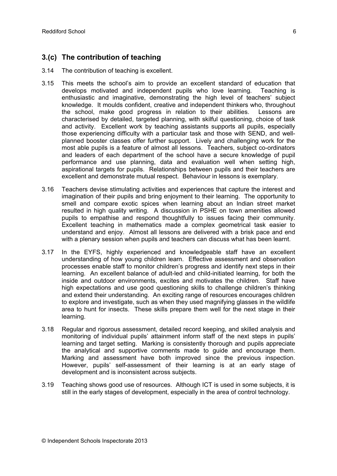## **3.(c) The contribution of teaching**

- 3.14 The contribution of teaching is excellent.
- 3.15 This meets the school's aim to provide an excellent standard of education that develops motivated and independent pupils who love learning. Teaching is enthusiastic and imaginative, demonstrating the high level of teachers' subject knowledge. It moulds confident, creative and independent thinkers who, throughout the school, make good progress in relation to their abilities. Lessons are characterised by detailed, targeted planning, with skilful questioning, choice of task and activity. Excellent work by teaching assistants supports all pupils, especially those experiencing difficulty with a particular task and those with SEND, and wellplanned booster classes offer further support. Lively and challenging work for the most able pupils is a feature of almost all lessons. Teachers, subject co-ordinators and leaders of each department of the school have a secure knowledge of pupil performance and use planning, data and evaluation well when setting high, aspirational targets for pupils. Relationships between pupils and their teachers are excellent and demonstrate mutual respect. Behaviour in lessons is exemplary.
- 3.16 Teachers devise stimulating activities and experiences that capture the interest and imagination of their pupils and bring enjoyment to their learning. The opportunity to smell and compare exotic spices when learning about an Indian street market resulted in high quality writing. A discussion in PSHE on town amenities allowed pupils to empathise and respond thoughtfully to issues facing their community. Excellent teaching in mathematics made a complex geometrical task easier to understand and enjoy. Almost all lessons are delivered with a brisk pace and end with a plenary session when pupils and teachers can discuss what has been learnt.
- 3.17 In the EYFS, highly experienced and knowledgeable staff have an excellent understanding of how young children learn. Effective assessment and observation processes enable staff to monitor children's progress and identify next steps in their learning. An excellent balance of adult-led and child-initiated learning, for both the inside and outdoor environments, excites and motivates the children. Staff have high expectations and use good questioning skills to challenge children's thinking and extend their understanding. An exciting range of resources encourages children to explore and investigate, such as when they used magnifying glasses in the wildlife area to hunt for insects. These skills prepare them well for the next stage in their learning.
- 3.18 Regular and rigorous assessment, detailed record keeping, and skilled analysis and monitoring of individual pupils' attainment inform staff of the next steps in pupils' learning and target setting. Marking is consistently thorough and pupils appreciate the analytical and supportive comments made to guide and encourage them. Marking and assessment have both improved since the previous inspection. However, pupils' self-assessment of their learning is at an early stage of development and is inconsistent across subjects.
- 3.19 Teaching shows good use of resources. Although ICT is used in some subjects, it is still in the early stages of development, especially in the area of control technology.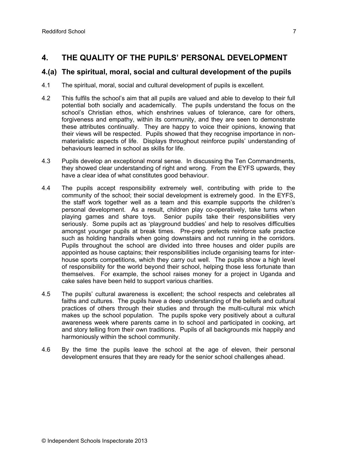## **4. THE QUALITY OF THE PUPILS' PERSONAL DEVELOPMENT**

### **4.(a) The spiritual, moral, social and cultural development of the pupils**

- 4.1 The spiritual, moral, social and cultural development of pupils is excellent.
- 4.2 This fulfils the school's aim that all pupils are valued and able to develop to their full potential both socially and academically. The pupils understand the focus on the school's Christian ethos, which enshrines values of tolerance, care for others, forgiveness and empathy, within its community, and they are seen to demonstrate these attributes continually. They are happy to voice their opinions, knowing that their views will be respected. Pupils showed that they recognise importance in nonmaterialistic aspects of life. Displays throughout reinforce pupils' understanding of behaviours learned in school as skills for life.
- 4.3 Pupils develop an exceptional moral sense. In discussing the Ten Commandments, they showed clear understanding of right and wrong. From the EYFS upwards, they have a clear idea of what constitutes good behaviour.
- 4.4 The pupils accept responsibility extremely well, contributing with pride to the community of the school; their social development is extremely good. In the EYFS, the staff work together well as a team and this example supports the children's personal development. As a result, children play co-operatively, take turns when playing games and share toys. Senior pupils take their responsibilities very seriously. Some pupils act as 'playground buddies' and help to resolves difficulties amongst younger pupils at break times. Pre-prep prefects reinforce safe practice such as holding handrails when going downstairs and not running in the corridors. Pupils throughout the school are divided into three houses and older pupils are appointed as house captains; their responsibilities include organising teams for interhouse sports competitions, which they carry out well. The pupils show a high level of responsibility for the world beyond their school, helping those less fortunate than themselves. For example, the school raises money for a project in Uganda and cake sales have been held to support various charities.
- 4.5 The pupils' cultural awareness is excellent; the school respects and celebrates all faiths and cultures. The pupils have a deep understanding of the beliefs and cultural practices of others through their studies and through the multi-cultural mix which makes up the school population. The pupils spoke very positively about a cultural awareness week where parents came in to school and participated in cooking, art and story telling from their own traditions. Pupils of all backgrounds mix happily and harmoniously within the school community.
- 4.6 By the time the pupils leave the school at the age of eleven, their personal development ensures that they are ready for the senior school challenges ahead.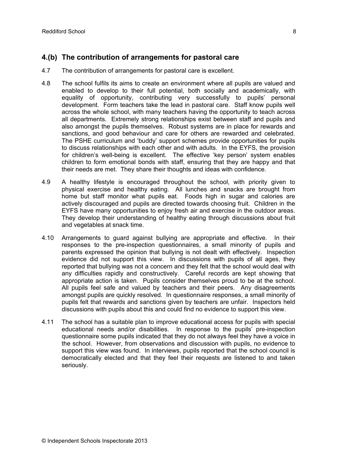## **4.(b) The contribution of arrangements for pastoral care**

- 4.7 The contribution of arrangements for pastoral care is excellent.
- 4.8 The school fulfils its aims to create an environment where all pupils are valued and enabled to develop to their full potential, both socially and academically, with equality of opportunity, contributing very successfully to pupils' personal development. Form teachers take the lead in pastoral care. Staff know pupils well across the whole school, with many teachers having the opportunity to teach across all departments. Extremely strong relationships exist between staff and pupils and also amongst the pupils themselves. Robust systems are in place for rewards and sanctions, and good behaviour and care for others are rewarded and celebrated. The PSHE curriculum and 'buddy' support schemes provide opportunities for pupils to discuss relationships with each other and with adults. In the EYFS, the provision for children's well-being is excellent. The effective 'key person' system enables children to form emotional bonds with staff, ensuring that they are happy and that their needs are met. They share their thoughts and ideas with confidence.
- 4.9 A healthy lifestyle is encouraged throughout the school, with priority given to physical exercise and healthy eating. All lunches and snacks are brought from home but staff monitor what pupils eat. Foods high in sugar and calories are actively discouraged and pupils are directed towards choosing fruit. Children in the EYFS have many opportunities to enjoy fresh air and exercise in the outdoor areas. They develop their understanding of healthy eating through discussions about fruit and vegetables at snack time.
- 4.10 Arrangements to guard against bullying are appropriate and effective. In their responses to the pre-inspection questionnaires, a small minority of pupils and parents expressed the opinion that bullying is not dealt with effectively. Inspection evidence did not support this view. In discussions with pupils of all ages, they reported that bullying was not a concern and they felt that the school would deal with any difficulties rapidly and constructively. Careful records are kept showing that appropriate action is taken. Pupils consider themselves proud to be at the school. All pupils feel safe and valued by teachers and their peers. Any disagreements amongst pupils are quickly resolved. In questionnaire responses, a small minority of pupils felt that rewards and sanctions given by teachers are unfair. Inspectors held discussions with pupils about this and could find no evidence to support this view.
- 4.11 The school has a suitable plan to improve educational access for pupils with special educational needs and/or disabilities. In response to the pupils' pre-inspection questionnaire some pupils indicated that they do not always feel they have a voice in the school. However, from observations and discussion with pupils, no evidence to support this view was found. In interviews, pupils reported that the school council is democratically elected and that they feel their requests are listened to and taken seriously.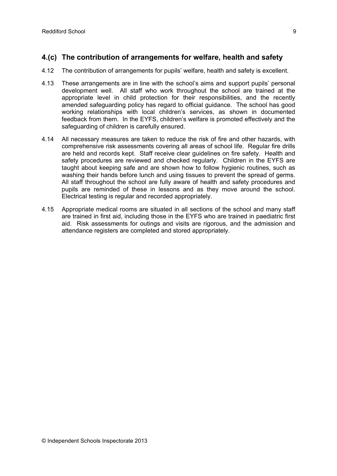## **4.(c) The contribution of arrangements for welfare, health and safety**

- 4.12 The contribution of arrangements for pupils' welfare, health and safety is excellent.
- 4.13 These arrangements are in line with the school's aims and support pupils' personal development well. All staff who work throughout the school are trained at the appropriate level in child protection for their responsibilities, and the recently amended safeguarding policy has regard to official guidance. The school has good working relationships with local children's services, as shown in documented feedback from them. In the EYFS, children's welfare is promoted effectively and the safeguarding of children is carefully ensured.
- 4.14 All necessary measures are taken to reduce the risk of fire and other hazards, with comprehensive risk assessments covering all areas of school life. Regular fire drills are held and records kept. Staff receive clear guidelines on fire safety. Health and safety procedures are reviewed and checked regularly. Children in the EYFS are taught about keeping safe and are shown how to follow hygienic routines, such as washing their hands before lunch and using tissues to prevent the spread of germs. All staff throughout the school are fully aware of health and safety procedures and pupils are reminded of these in lessons and as they move around the school. Electrical testing is regular and recorded appropriately.
- 4.15 Appropriate medical rooms are situated in all sections of the school and many staff are trained in first aid, including those in the EYFS who are trained in paediatric first aid. Risk assessments for outings and visits are rigorous, and the admission and attendance registers are completed and stored appropriately.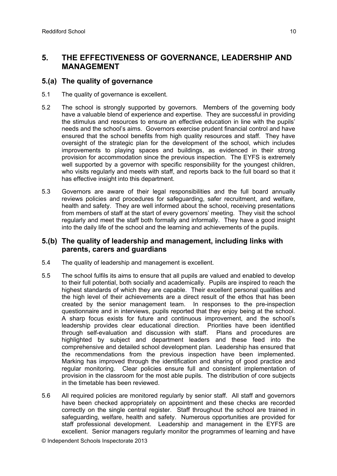## **5. THE EFFECTIVENESS OF GOVERNANCE, LEADERSHIP AND MANAGEMENT**

#### **5.(a) The quality of governance**

- 5.1 The quality of governance is excellent.
- 5.2 The school is strongly supported by governors. Members of the governing body have a valuable blend of experience and expertise. They are successful in providing the stimulus and resources to ensure an effective education in line with the pupils' needs and the school's aims. Governors exercise prudent financial control and have ensured that the school benefits from high quality resources and staff. They have oversight of the strategic plan for the development of the school, which includes improvements to playing spaces and buildings, as evidenced in their strong provision for accommodation since the previous inspection. The EYFS is extremely well supported by a governor with specific responsibility for the youngest children, who visits regularly and meets with staff, and reports back to the full board so that it has effective insight into this department.
- 5.3 Governors are aware of their legal responsibilities and the full board annually reviews policies and procedures for safeguarding, safer recruitment, and welfare, health and safety. They are well informed about the school, receiving presentations from members of staff at the start of every governors' meeting. They visit the school regularly and meet the staff both formally and informally. They have a good insight into the daily life of the school and the learning and achievements of the pupils.

#### **5.(b) The quality of leadership and management, including links with parents, carers and guardians**

- 5.4 The quality of leadership and management is excellent.
- 5.5 The school fulfils its aims to ensure that all pupils are valued and enabled to develop to their full potential, both socially and academically. Pupils are inspired to reach the highest standards of which they are capable. Their excellent personal qualities and the high level of their achievements are a direct result of the ethos that has been created by the senior management team. In responses to the pre-inspection questionnaire and in interviews, pupils reported that they enjoy being at the school. A sharp focus exists for future and continuous improvement, and the school's leadership provides clear educational direction. Priorities have been identified through self-evaluation and discussion with staff. Plans and procedures are highlighted by subject and department leaders and these feed into the comprehensive and detailed school development plan. Leadership has ensured that the recommendations from the previous inspection have been implemented. Marking has improved through the identification and sharing of good practice and regular monitoring. Clear policies ensure full and consistent implementation of provision in the classroom for the most able pupils. The distribution of core subjects in the timetable has been reviewed.
- 5.6 All required policies are monitored regularly by senior staff. All staff and governors have been checked appropriately on appointment and these checks are recorded correctly on the single central register. Staff throughout the school are trained in safeguarding, welfare, health and safety. Numerous opportunities are provided for staff professional development. Leadership and management in the EYFS are excellent. Senior managers regularly monitor the programmes of learning and have